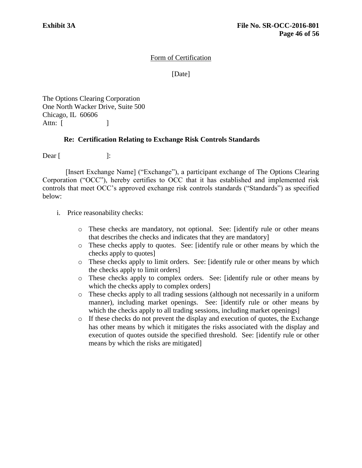## Form of Certification

[Date]

The Options Clearing Corporation One North Wacker Drive, Suite 500 Chicago, IL 60606 Attn:  $\begin{bmatrix} \end{bmatrix}$ 

## **Re: Certification Relating to Exchange Risk Controls Standards**

 $\text{Dear}$   $\lceil$   $\qquad$   $\rceil$ :

[Insert Exchange Name] ("Exchange"), a participant exchange of The Options Clearing Corporation ("OCC"), hereby certifies to OCC that it has established and implemented risk controls that meet OCC's approved exchange risk controls standards ("Standards") as specified below:

- i. Price reasonability checks:
	- o These checks are mandatory, not optional. See: [identify rule or other means that describes the checks and indicates that they are mandatory]
	- o These checks apply to quotes. See: [identify rule or other means by which the checks apply to quotes]
	- o These checks apply to limit orders. See: [identify rule or other means by which the checks apply to limit orders]
	- o These checks apply to complex orders. See: [identify rule or other means by which the checks apply to complex orders]
	- o These checks apply to all trading sessions (although not necessarily in a uniform manner), including market openings. See: [identify rule or other means by which the checks apply to all trading sessions, including market openings]
	- o If these checks do not prevent the display and execution of quotes, the Exchange has other means by which it mitigates the risks associated with the display and execution of quotes outside the specified threshold. See: [identify rule or other means by which the risks are mitigated]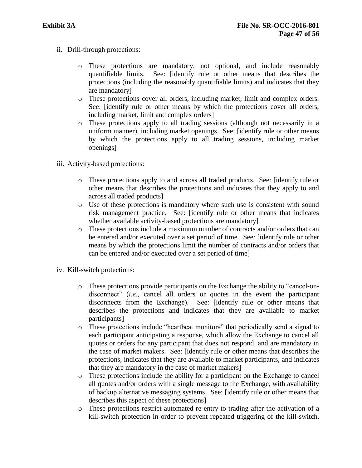- ii. Drill-through protections:
	- o These protections are mandatory, not optional, and include reasonably quantifiable limits. See: [identify rule or other means that describes the protections (including the reasonably quantifiable limits) and indicates that they are mandatory]
	- o These protections cover all orders, including market, limit and complex orders. See: [identify rule or other means by which the protections cover all orders, including market, limit and complex orders]
	- o These protections apply to all trading sessions (although not necessarily in a uniform manner), including market openings. See: [identify rule or other means by which the protections apply to all trading sessions, including market openings]
- iii. Activity-based protections:
	- o These protections apply to and across all traded products. See: [identify rule or other means that describes the protections and indicates that they apply to and across all traded products]
	- o Use of these protections is mandatory where such use is consistent with sound risk management practice. See: [identify rule or other means that indicates whether available activity-based protections are mandatory]
	- o These protections include a maximum number of contracts and/or orders that can be entered and/or executed over a set period of time. See: [identify rule or other means by which the protections limit the number of contracts and/or orders that can be entered and/or executed over a set period of time]
- iv. Kill-switch protections:
	- o These protections provide participants on the Exchange the ability to "cancel-ondisconnect" (*i.e*., cancel all orders or quotes in the event the participant disconnects from the Exchange). See: [identify rule or other means that describes the protections and indicates that they are available to market participants]
	- o These protections include "heartbeat monitors" that periodically send a signal to each participant anticipating a response, which allow the Exchange to cancel all quotes or orders for any participant that does not respond, and are mandatory in the case of market makers. See: [identify rule or other means that describes the protections, indicates that they are available to market participants, and indicates that they are mandatory in the case of market makers]
	- o These protections include the ability for a participant on the Exchange to cancel all quotes and/or orders with a single message to the Exchange, with availability of backup alternative messaging systems. See: [identify rule or other means that describes this aspect of these protections]
	- o These protections restrict automated re-entry to trading after the activation of a kill-switch protection in order to prevent repeated triggering of the kill-switch.